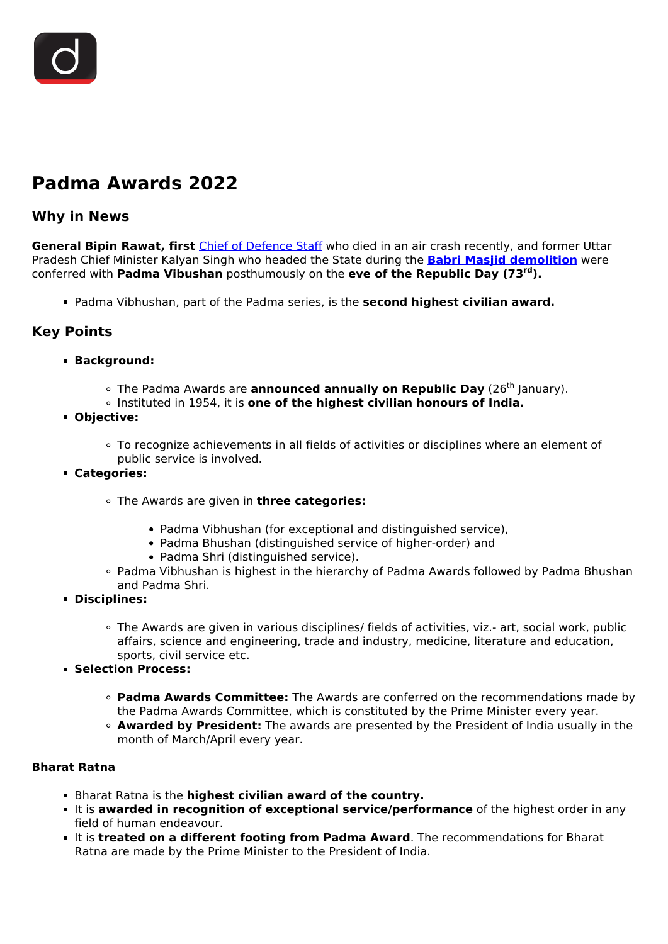

# **Padma Awards 2022**

### **Why in News**

**General Bipin Rawat, first** [Chief of Defence Staff](/daily-updates/daily-news-editorials/chief-of-defence-staff-4) who died in an air crash recently, and former Uttar Pradesh Chief Minister Kalyan Singh who headed the State during the **[Babri Masjid demolition](/daily-updates/daily-news-editorials/a-compromise-is-still-possible)** were conferred with **Padma Vibushan** posthumously on the **eve of the Republic Day (73rd).**

Padma Vibhushan, part of the Padma series, is the **second highest civilian award.**

## **Key Points**

- **Background:**
	- <sup>o</sup> The Padma Awards are **announced annually on Republic Day** (26<sup>th</sup> January).
	- Instituted in 1954, it is **one of the highest civilian honours of India.**
- **Objective:**
	- To recognize achievements in all fields of activities or disciplines where an element of public service is involved.
- **Categories:**
	- The Awards are given in **three categories:**
		- Padma Vibhushan (for exceptional and distinguished service),
		- Padma Bhushan (distinguished service of higher-order) and
		- Padma Shri (distinguished service).
	- Padma Vibhushan is highest in the hierarchy of Padma Awards followed by Padma Bhushan and Padma Shri.
- **Disciplines:**
	- The Awards are given in various disciplines/ fields of activities, viz.- art, social work, public affairs, science and engineering, trade and industry, medicine, literature and education, sports, civil service etc.
- **Selection Process:**
	- **Padma Awards Committee:** The Awards are conferred on the recommendations made by the Padma Awards Committee, which is constituted by the Prime Minister every year.
	- **Awarded by President:** The awards are presented by the President of India usually in the month of March/April every year.

#### **Bharat Ratna**

- Bharat Ratna is the **highest civilian award of the country.**
- It is **awarded in recognition of exceptional service/performance** of the highest order in any field of human endeavour.
- **It is treated on a different footing from Padma Award**. The recommendations for Bharat Ratna are made by the Prime Minister to the President of India.